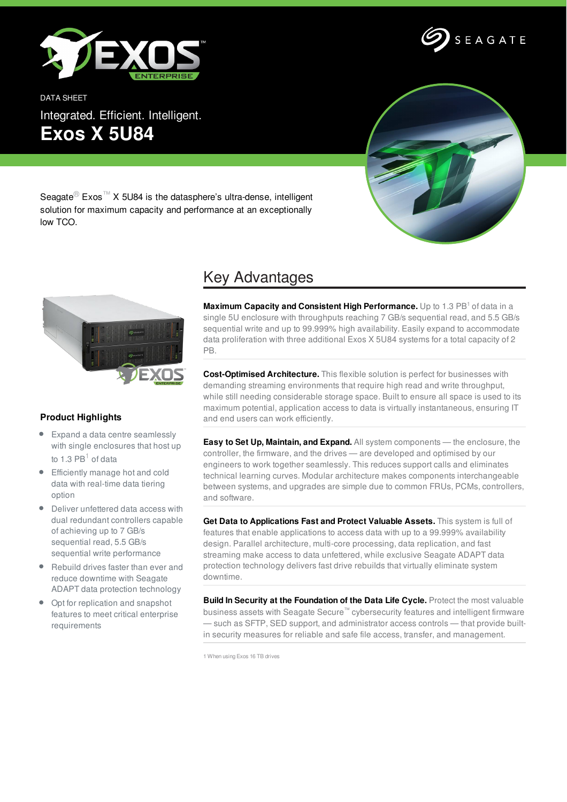







Seagate<sup>®</sup> Exos<sup>™</sup> X 5U84 is the datasphere's ultra-dense, intelligent solution for maximum capacity and performance at an exceptionally low TCO.



## **Product Highlights**

- Expand a data centre seamlessly with single enclosures that host up to 1.3  $PB<sup>1</sup>$  of data
- Efficiently manage hot and cold data with real-time data tiering option
- Deliver unfettered data access with dual redundant controllers capable of achieving up to 7 GB/s sequential read, 5.5 GB/s sequential write performance
- Rebuild drives faster than ever and reduce downtime with Seagate ADAPT data protection technology
- Opt for replication and snapshot features to meet critical enterprise requirements

## Key Advantages

**Maximum Capacity and Consistent High Performance.** Up to 1.3 PB <sup>1</sup> of data in a single 5U enclosure with throughputs reaching 7 GB/s sequential read, and 5.5 GB/s sequential write and up to 99.999% high availability. Easily expand to accommodate data proliferation with three additional Exos X 5U84 systems for a total capacity of 2 PB.

**Cost-Optimised Architecture.** This flexible solution is perfect for businesses with demanding streaming environments that require high read and write throughput, while still needing considerable storage space. Built to ensure all space is used to its maximum potential, application access to data is virtually instantaneous, ensuring IT and end users can work efficiently.

**Easy to Set Up, Maintain, and Expand.** All system components — the enclosure, the controller, the firmware, and the drives — are developed and optimised by our engineers to work together seamlessly. This reduces support calls and eliminates technical learning curves. Modular architecture makes components interchangeable between systems, and upgrades are simple due to common FRUs, PCMs, controllers, and software.

**Get Data to Applications Fast and Protect Valuable Assets.** This system is full of features that enable applications to access data with up to a 99.999% availability design. Parallel architecture, multi-core processing, data replication, and fast streaming make access to data unfettered, while exclusive Seagate ADAPT data protection technology delivers fast drive rebuilds that virtually eliminate system downtime.

**Build In Security at the Foundation of the Data Life Cycle.** Protect the most valuable business assets with Seagate Secure™ cybersecurity features and intelligent firmware — such as SFTP, SED support, and administrator access controls — that provide builtin security measures for reliable and safe file access, transfer, and management.

1 When using Exos 16 TB drives